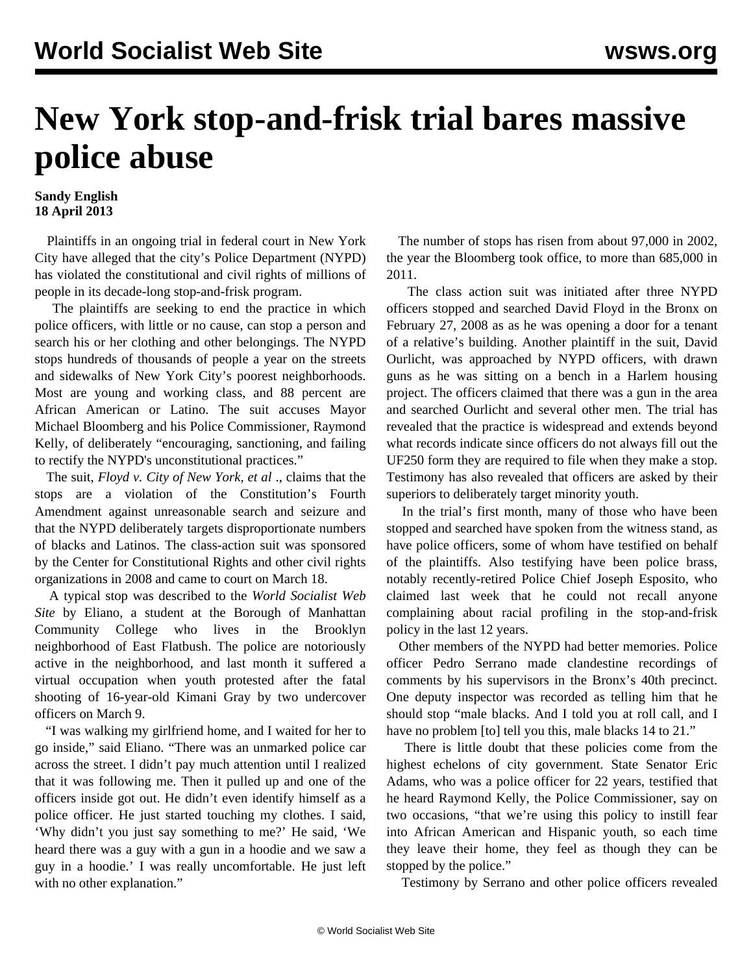## **New York stop-and-frisk trial bares massive police abuse**

## **Sandy English 18 April 2013**

 Plaintiffs in an ongoing trial in federal court in New York City have alleged that the city's Police Department (NYPD) has violated the constitutional and civil rights of millions of people in its decade-long stop-and-frisk program.

 The plaintiffs are seeking to end the practice in which police officers, with little or no cause, can stop a person and search his or her clothing and other belongings. The NYPD stops hundreds of thousands of people a year on the streets and sidewalks of New York City's poorest neighborhoods. Most are young and working class, and 88 percent are African American or Latino. The suit accuses Mayor Michael Bloomberg and his Police Commissioner, Raymond Kelly, of deliberately "encouraging, sanctioning, and failing to rectify the NYPD's unconstitutional practices."

 The suit, *Floyd v. City of New York, et al* ., claims that the stops are a violation of the Constitution's Fourth Amendment against unreasonable search and seizure and that the NYPD deliberately targets disproportionate numbers of blacks and Latinos. The class-action suit was sponsored by the Center for Constitutional Rights and other civil rights organizations in 2008 and came to court on March 18.

 A typical stop was described to the *World Socialist Web Site* by Eliano, a student at the Borough of Manhattan Community College who lives in the Brooklyn neighborhood of East Flatbush. The police are notoriously active in the neighborhood, and last month it suffered a virtual occupation when youth protested after the fatal shooting of 16-year-old Kimani Gray by two undercover officers on March 9.

 "I was walking my girlfriend home, and I waited for her to go inside," said Eliano. "There was an unmarked police car across the street. I didn't pay much attention until I realized that it was following me. Then it pulled up and one of the officers inside got out. He didn't even identify himself as a police officer. He just started touching my clothes. I said, 'Why didn't you just say something to me?' He said, 'We heard there was a guy with a gun in a hoodie and we saw a guy in a hoodie.' I was really uncomfortable. He just left with no other explanation."

 The number of stops has risen from about 97,000 in 2002, the year the Bloomberg took office, to more than 685,000 in 2011.

 The class action suit was initiated after three NYPD officers stopped and searched David Floyd in the Bronx on February 27, 2008 as as he was opening a door for a tenant of a relative's building. Another plaintiff in the suit, David Ourlicht, was approached by NYPD officers, with drawn guns as he was sitting on a bench in a Harlem housing project. The officers claimed that there was a gun in the area and searched Ourlicht and several other men. The trial has revealed that the practice is widespread and extends beyond what records indicate since officers do not always fill out the UF250 form they are required to file when they make a stop. Testimony has also revealed that officers are asked by their superiors to deliberately target minority youth.

 In the trial's first month, many of those who have been stopped and searched have spoken from the witness stand, as have police officers, some of whom have testified on behalf of the plaintiffs. Also testifying have been police brass, notably recently-retired Police Chief Joseph Esposito, who claimed last week that he could not recall anyone complaining about racial profiling in the stop-and-frisk policy in the last 12 years.

 Other members of the NYPD had better memories. Police officer Pedro Serrano made clandestine recordings of comments by his supervisors in the Bronx's 40th precinct. One deputy inspector was recorded as telling him that he should stop "male blacks. And I told you at roll call, and I have no problem [to] tell you this, male blacks 14 to 21."

 There is little doubt that these policies come from the highest echelons of city government. State Senator Eric Adams, who was a police officer for 22 years, testified that he heard Raymond Kelly, the Police Commissioner, say on two occasions, "that we're using this policy to instill fear into African American and Hispanic youth, so each time they leave their home, they feel as though they can be stopped by the police."

Testimony by Serrano and other police officers revealed